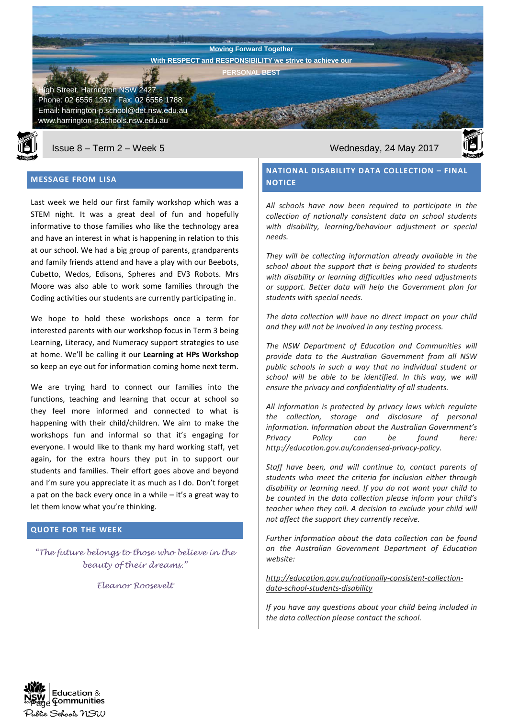**Harrington Public School Newsletter** gh Street, Harrington NSW 2427 Phone: 02 6556 1267 Fax: 02 6556 1788 Email: harrington-p.school@det.nsw.edu.au **Moving Forward Together With RESPECT and RESPONSIBILITY we strive to achieve our PERSONAL BEST**



www.harrington-p.schools.nsw.edu.au

## **MESSAGE FROM LISA**

Last week we held our first family workshop which was a STEM night. It was a great deal of fun and hopefully informative to those families who like the technology area and have an interest in what is happening in relation to this at our school. We had a big group of parents, grandparents and family friends attend and have a play with our Beebots, Cubetto, Wedos, Edisons, Spheres and EV3 Robots. Mrs Moore was also able to work some families through the Coding activities our students are currently participating in.

We hope to hold these workshops once a term for interested parents with our workshop focus in Term 3 being Learning, Literacy, and Numeracy support strategies to use at home. We'll be calling it our **Learning at HPs Workshop** so keep an eye out for information coming home next term.

We are trying hard to connect our families into the functions, teaching and learning that occur at school so they feel more informed and connected to what is happening with their child/children. We aim to make the workshops fun and informal so that it's engaging for everyone. I would like to thank my hard working staff, yet again, for the extra hours they put in to support our students and families. Their effort goes above and beyond and I'm sure you appreciate it as much as I do. Don't forget a pat on the back every once in a while – it's a great way to let them know what you're thinking.

## **QUOTE FOR THE WEEK**

*"The future belongs to those who believe in the beauty of their dreams."*

*Eleanor Roosevelt*

Issue 8 – Term 2 – Week 5 Wednesday, 24 May 2017

# **NATIONAL DISABILITY DATA COLLECTION – FINAL NOTICE**

*All schools have now been required to participate in the collection of nationally consistent data on school students with disability, learning/behaviour adjustment or special needs.* 

*They will be collecting information already available in the school about the support that is being provided to students with disability or learning difficulties who need adjustments or support. Better data will help the Government plan for students with special needs.* 

*The data collection will have no direct impact on your child and they will not be involved in any testing process.* 

*The NSW Department of Education and Communities will provide data to the Australian Government from all NSW public schools in such a way that no individual student or school will be able to be identified. In this way, we will ensure the privacy and confidentiality of all students.*

*All information is protected by privacy laws which regulate the collection, storage and disclosure of personal information. Information about the Australian Government's Privacy Policy can be found here: http://education.gov.au/condensed-privacy-policy.* 

*Staff have been, and will continue to, contact parents of students who meet the criteria for inclusion either through disability or learning need. If you do not want your child to be counted in the data collection please inform your child's teacher when they call. A decision to exclude your child will not affect the support they currently receive.*

*Further information about the data collection can be found on the Australian Government Department of Education website:*

#### *[http://education.gov.au/nationally-consistent-collection](http://education.gov.au/nationally-consistent-collection-data-school-students-disability)[data-school-students-disability](http://education.gov.au/nationally-consistent-collection-data-school-students-disability)*

*If you have any questions about your child being included in the data collection please contact the school.*

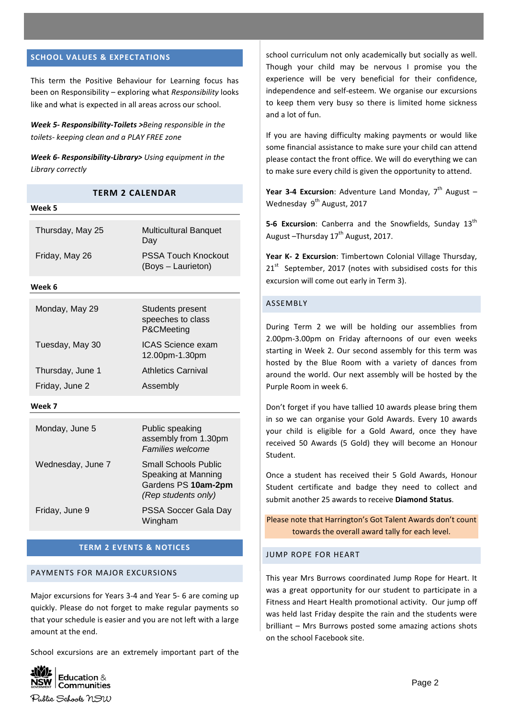#### **SCHOOL VALUES & EXPECTATIONS**

**Week 5**

This term the Positive Behaviour for Learning focus has been on Responsibility – exploring what *Responsibility* looks like and what is expected in all areas across our school.

*Week 5- Responsibility-Toilets >Being responsible in the toilets- keeping clean and a PLAY FREE zone*

*Week 6- Responsibility-Library> Using equipment in the Library correctly*

**TERM 2 CALENDAR**

| weeк э            |                                                                                                  |
|-------------------|--------------------------------------------------------------------------------------------------|
| Thursday, May 25  | <b>Multicultural Banquet</b><br>Day                                                              |
| Friday, May 26    | <b>PSSA Touch Knockout</b><br>(Boys - Laurieton)                                                 |
| Week 6            |                                                                                                  |
| Monday, May 29    | Students present<br>speeches to class<br>P&CMeeting                                              |
| Tuesday, May 30   | <b>ICAS Science exam</b><br>12.00pm-1.30pm                                                       |
| Thursday, June 1  | <b>Athletics Carnival</b>                                                                        |
| Friday, June 2    | Assembly                                                                                         |
| Week 7            |                                                                                                  |
| Monday, June 5    | Public speaking<br>assembly from 1.30pm<br>Families welcome                                      |
| Wednesday, June 7 | <b>Small Schools Public</b><br>Speaking at Manning<br>Gardens PS 10am-2pm<br>(Rep students only) |
| Friday, June 9    | PSSA Soccer Gala Day<br>Wingham                                                                  |

#### **TERM 2 EVENTS & NOTICES**

#### PAYMENTS FOR MAJOR EXCURSIONS

Major excursions for Years 3-4 and Year 5- 6 are coming up quickly. Please do not forget to make regular payments so that your schedule is easier and you are not left with a large amount at the end.

School excursions are an extremely important part of the



school curriculum not only academically but socially as well. Though your child may be nervous I promise you the experience will be very beneficial for their confidence, independence and self-esteem. We organise our excursions to keep them very busy so there is limited home sickness and a lot of fun.

If you are having difficulty making payments or would like some financial assistance to make sure your child can attend please contact the front office. We will do everything we can to make sure every child is given the opportunity to attend.

Year 3-4 Excursion: Adventure Land Monday, 7<sup>th</sup> August -Wednesday 9<sup>th</sup> August, 2017

**5-6 Excursion:** Canberra and the Snowfields, Sunday 13<sup>th</sup> August  $-T$ hursday 17<sup>th</sup> August, 2017.

**Year K- 2 Excursion**: Timbertown Colonial Village Thursday, 21<sup>st</sup> September, 2017 (notes with subsidised costs for this excursion will come out early in Term 3).

#### ASSEMBLY

During Term 2 we will be holding our assemblies from 2.00pm-3.00pm on Friday afternoons of our even weeks starting in Week 2. Our second assembly for this term was hosted by the Blue Room with a variety of dances from around the world. Our next assembly will be hosted by the Purple Room in week 6.

Don't forget if you have tallied 10 awards please bring them in so we can organise your Gold Awards. Every 10 awards your child is eligible for a Gold Award, once they have received 50 Awards (5 Gold) they will become an Honour Student.

Once a student has received their 5 Gold Awards, Honour Student certificate and badge they need to collect and submit another 25 awards to receive **Diamond Status**.

Please note that Harrington's Got Talent Awards don't count towards the overall award tally for each level.

## JUMP ROPE FOR HEART

This year Mrs Burrows coordinated Jump Rope for Heart. It was a great opportunity for our student to participate in a Fitness and Heart Health promotional activity. Our jump off was held last Friday despite the rain and the students were brilliant – Mrs Burrows posted some amazing actions shots on the school Facebook site.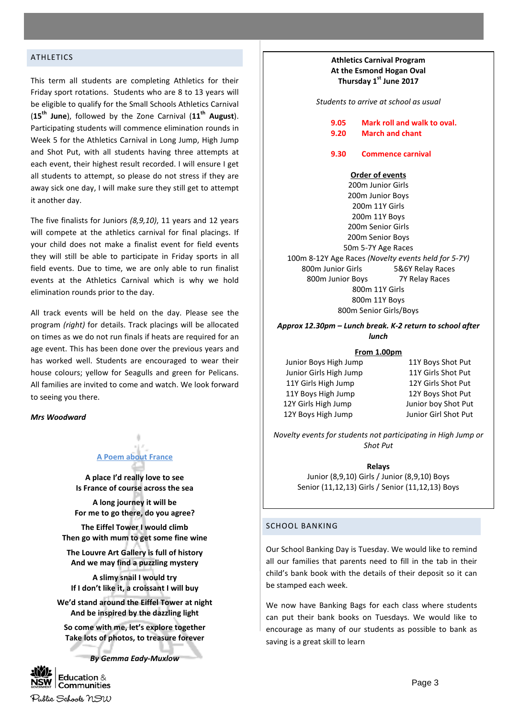## ATHLETICS

This term all students are completing Athletics for their Friday sport rotations. Students who are 8 to 13 years will be eligible to qualify for the Small Schools Athletics Carnival (**15th June**), followed by the Zone Carnival (**11th August**). Participating students will commence elimination rounds in Week 5 for the Athletics Carnival in Long Jump, High Jump and Shot Put, with all students having three attempts at each event, their highest result recorded. I will ensure I get all students to attempt, so please do not stress if they are away sick one day, I will make sure they still get to attempt it another day.

The five finalists for Juniors *(8,9,10)*, 11 years and 12 years will compete at the athletics carnival for final placings. If your child does not make a finalist event for field events they will still be able to participate in Friday sports in all field events. Due to time, we are only able to run finalist events at the Athletics Carnival which is why we hold elimination rounds prior to the day.

All track events will be held on the day. Please see the program *(right)* for details. Track placings will be allocated on times as we do not run finals if heats are required for an age event. This has been done over the previous years and has worked well. Students are encouraged to wear their house colours; yellow for Seagulls and green for Pelicans. All families are invited to come and watch. We look forward to seeing you there.

*Mrs Woodward*

# **A Poem about France**

**A place I'd really love to see Is France of course across the sea**

**A long journey it will be For me to go there, do you agree?**

**The Eiffel Tower I would climb Then go with mum to get some fine wine**

**The Louvre Art Gallery is full of history And we may find a puzzling mystery**

**A slimy snail I would try If I don't like it, a croissant I will buy**

**We'd stand around the Eiffel Tower at night And be inspired by the dazzling light**

**So come with me, let's explore together Take lots of photos, to treasure forever**

*By Gemma Eady-Muxlow*



## **Athletics Carnival Program At the Esmond Hogan Oval Thursday 1st June 2017**

*Students to arrive at school as usual*

**9.05 Mark roll and walk to oval. 9.20 March and chant**

**9.30 Commence carnival**

#### **Order of events**

200m Junior Girls 200m Junior Boys 200m 11Y Girls 200m 11Y Boys 200m Senior Girls 200m Senior Boys 50m 5-7Y Age Races 100m 8-12Y Age Races *(Novelty events held for 5-7Y)* 800m Junior Girls 5&6Y Relay Races 800m Junior Boys 7Y Relay Races 800m 11Y Girls 800m 11Y Boys 800m Senior Girls/Boys

*Approx 12.30pm – Lunch break. K-2 return to school after lunch*

#### **From 1.00pm**

Junior Boys High Jump 11Y Boys Shot Put Junior Girls High Jump 11Y Girls Shot Put 11Y Girls High Jump 12Y Girls Shot Put 11Y Boys High Jump 12Y Boys Shot Put 12Y Girls High Jump Junior boy Shot Put 12Y Boys High Jump Junior Girl Shot Put

*Novelty events for students not participating in High Jump or Shot Put*

> **Relays** Junior (8,9,10) Girls / Junior (8,9,10) Boys Senior (11,12,13) Girls / Senior (11,12,13) Boys

#### SCHOOL BANKING

Our School Banking Day is Tuesday. We would like to remind all our families that parents need to fill in the tab in their child's bank book with the details of their deposit so it can be stamped each week.

We now have Banking Bags for each class where students can put their bank books on Tuesdays. We would like to encourage as many of our students as possible to bank as saving is a great skill to learn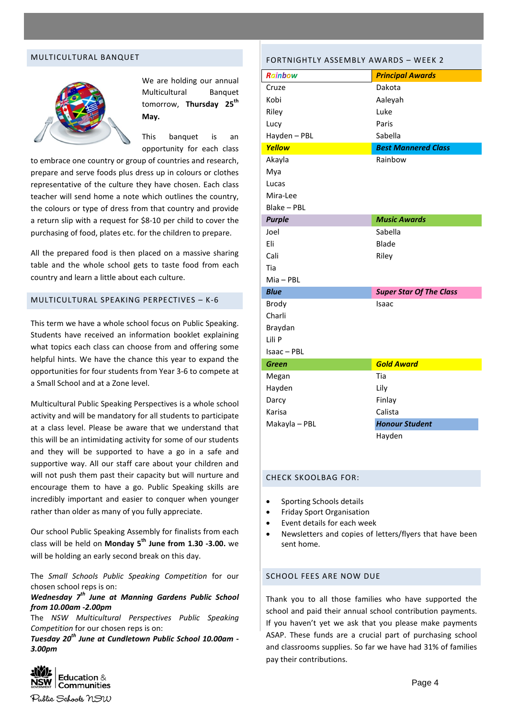#### MULTICULTURAL BANQUET



We are holding our annual Multicultural Banquet tomorrow, **Thursday 25th May.**

This banquet is an opportunity for each class

to embrace one country or group of countries and research, prepare and serve foods plus dress up in colours or clothes representative of the culture they have chosen. Each class teacher will send home a note which outlines the country, the colours or type of dress from that country and provide a return slip with a request for \$8-10 per child to cover the purchasing of food, plates etc. for the children to prepare.

All the prepared food is then placed on a massive sharing table and the whole school gets to taste food from each country and learn a little about each culture.

#### MULTICULTURAL SPEAKING PERPECTIVES – K-6

This term we have a whole school focus on Public Speaking. Students have received an information booklet explaining what topics each class can choose from and offering some helpful hints. We have the chance this year to expand the opportunities for four students from Year 3-6 to compete at a Small School and at a Zone level.

Multicultural Public Speaking Perspectives is a whole school activity and will be mandatory for all students to participate at a class level. Please be aware that we understand that this will be an intimidating activity for some of our students and they will be supported to have a go in a safe and supportive way. All our staff care about your children and will not push them past their capacity but will nurture and encourage them to have a go. Public Speaking skills are incredibly important and easier to conquer when younger rather than older as many of you fully appreciate.

Our school Public Speaking Assembly for finalists from each class will be held on **Monday 5th June from 1.30 -3.00.** we will be holding an early second break on this day.

The *Small Schools Public Speaking Competition* for our chosen school reps is on:

*Wednesday 7th June at Manning Gardens Public School from 10.00am -2.00pm*

The *NSW Multicultural Perspectives Public Speaking Competition* for our chosen reps is on:

*Tuesday 20th June at Cundletown Public School 10.00am - 3.00pm*



| Rainbow       | <b>Principal Awards</b>        |
|---------------|--------------------------------|
| Cruze         | Dakota                         |
| Kobi          | Aaleyah                        |
| Riley         | Luke                           |
| Lucy          | Paris                          |
| Hayden - PBL  | Sabella                        |
| Yellow        | <b>Best Mannered Class</b>     |
| Akayla        | Rainbow                        |
| Mya           |                                |
| Lucas         |                                |
| Mira-Lee      |                                |
| Blake - PBL   |                                |
| <b>Purple</b> | <b>Music Awards</b>            |
| Joel          | Sabella                        |
| Eli           | Blade                          |
| Cali          | Riley                          |
| Tia           |                                |
| $Mia - PBL$   |                                |
| <b>Blue</b>   | <b>Super Star Of The Class</b> |
| <b>Brody</b>  | Isaac                          |
| Charli        |                                |
| Braydan       |                                |
| Lili P        |                                |
| Isaac - PBL   |                                |
| <b>Green</b>  | <b>Gold Award</b>              |
| Megan         | Tia                            |
| Hayden        | Lily                           |
| Darcy         | Finlay                         |
| Karisa        | Calista                        |
| Makayla - PBL | <b>Honour Student</b>          |
|               | Hayden                         |
|               |                                |

#### CHECK SKOOLBAG FOR:

- Sporting Schools details
- Friday Sport Organisation
- Event details for each week
- Newsletters and copies of letters/flyers that have been sent home.

### SCHOOL FEES ARE NOW DUE

Thank you to all those families who have supported the school and paid their annual school contribution payments. If you haven't yet we ask that you please make payments ASAP. These funds are a crucial part of purchasing school and classrooms supplies. So far we have had 31% of families pay their contributions.

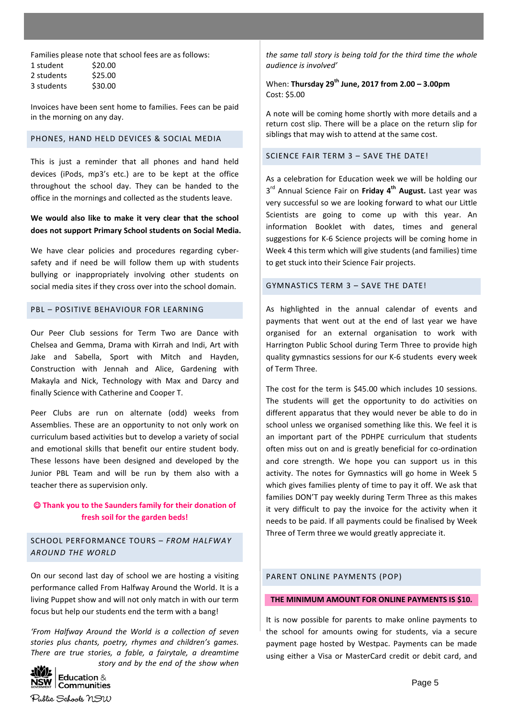Families please note that school fees are as follows: 1 student \$20.00 2 students \$25.00 3 students \$30.00

Invoices have been sent home to families. Fees can be paid in the morning on any day.

#### PHONES, HAND HELD DEVICES & SOCIAL MEDIA

This is just a reminder that all phones and hand held devices (iPods, mp3's etc.) are to be kept at the office throughout the school day. They can be handed to the office in the mornings and collected as the students leave.

# **We would also like to make it very clear that the school does not support Primary School students on Social Media.**

We have clear policies and procedures regarding cybersafety and if need be will follow them up with students bullying or inappropriately involving other students on social media sites if they cross over into the school domain.

#### PBL – POSITIVE BEHAVIOUR FOR LEARNING

Our Peer Club sessions for Term Two are Dance with Chelsea and Gemma, Drama with Kirrah and Indi, Art with Jake and Sabella, Sport with Mitch and Hayden, Construction with Jennah and Alice, Gardening with Makayla and Nick, Technology with Max and Darcy and finally Science with Catherine and Cooper T.

Peer Clubs are run on alternate (odd) weeks from Assemblies. These are an opportunity to not only work on curriculum based activities but to develop a variety of social and emotional skills that benefit our entire student body. These lessons have been designed and developed by the Junior PBL Team and will be run by them also with a teacher there as supervision only.

# **Thank you to the Saunders family for their donation of fresh soil for the garden beds!**

SCHOOL PERFORMANCE TOURS – *FROM HALFWAY AROUND THE WORLD*

On our second last day of school we are hosting a visiting performance called From Halfway Around the World. It is a living Puppet show and will not only match in with our term focus but help our students end the term with a bang!

*'From Halfway Around the World is a collection of seven stories plus chants, poetry, rhymes and children's games. There are true stories, a fable, a fairytale, a dreamtime* 



*the same tall story is being told for the third time the whole audience is involved'*

When: **Thursday 29th June, 2017 from 2.00 – 3.00pm** Cost: \$5.00

A note will be coming home shortly with more details and a return cost slip. There will be a place on the return slip for siblings that may wish to attend at the same cost.

#### SCIENCE FAIR TERM 3 - SAVE THE DATE!

As a celebration for Education week we will be holding our 3 rd Annual Science Fair on **Friday 4th August.** Last year was very successful so we are looking forward to what our Little Scientists are going to come up with this year. An information Booklet with dates, times and general suggestions for K-6 Science projects will be coming home in Week 4 this term which will give students (and families) time to get stuck into their Science Fair projects.

## GYMNASTICS TERM 3 – SAVE THE DATE!

As highlighted in the annual calendar of events and payments that went out at the end of last year we have organised for an external organisation to work with Harrington Public School during Term Three to provide high quality gymnastics sessions for our K-6 students every week of Term Three.

The cost for the term is \$45.00 which includes 10 sessions. The students will get the opportunity to do activities on different apparatus that they would never be able to do in school unless we organised something like this. We feel it is an important part of the PDHPE curriculum that students often miss out on and is greatly beneficial for co-ordination and core strength. We hope you can support us in this activity. The notes for Gymnastics will go home in Week 5 which gives families plenty of time to pay it off. We ask that families DON'T pay weekly during Term Three as this makes it very difficult to pay the invoice for the activity when it needs to be paid. If all payments could be finalised by Week Three of Term three we would greatly appreciate it.

#### PARENT ONLINE PAYMENTS (POP)

#### **THE MINIMUM AMOUNT FOR ONLINE PAYMENTS IS \$10.**

It is now possible for parents to make online payments to the school for amounts owing for students, via a secure payment page hosted by Westpac. Payments can be made using either a Visa or MasterCard credit or debit card, and

Public Schools NSW